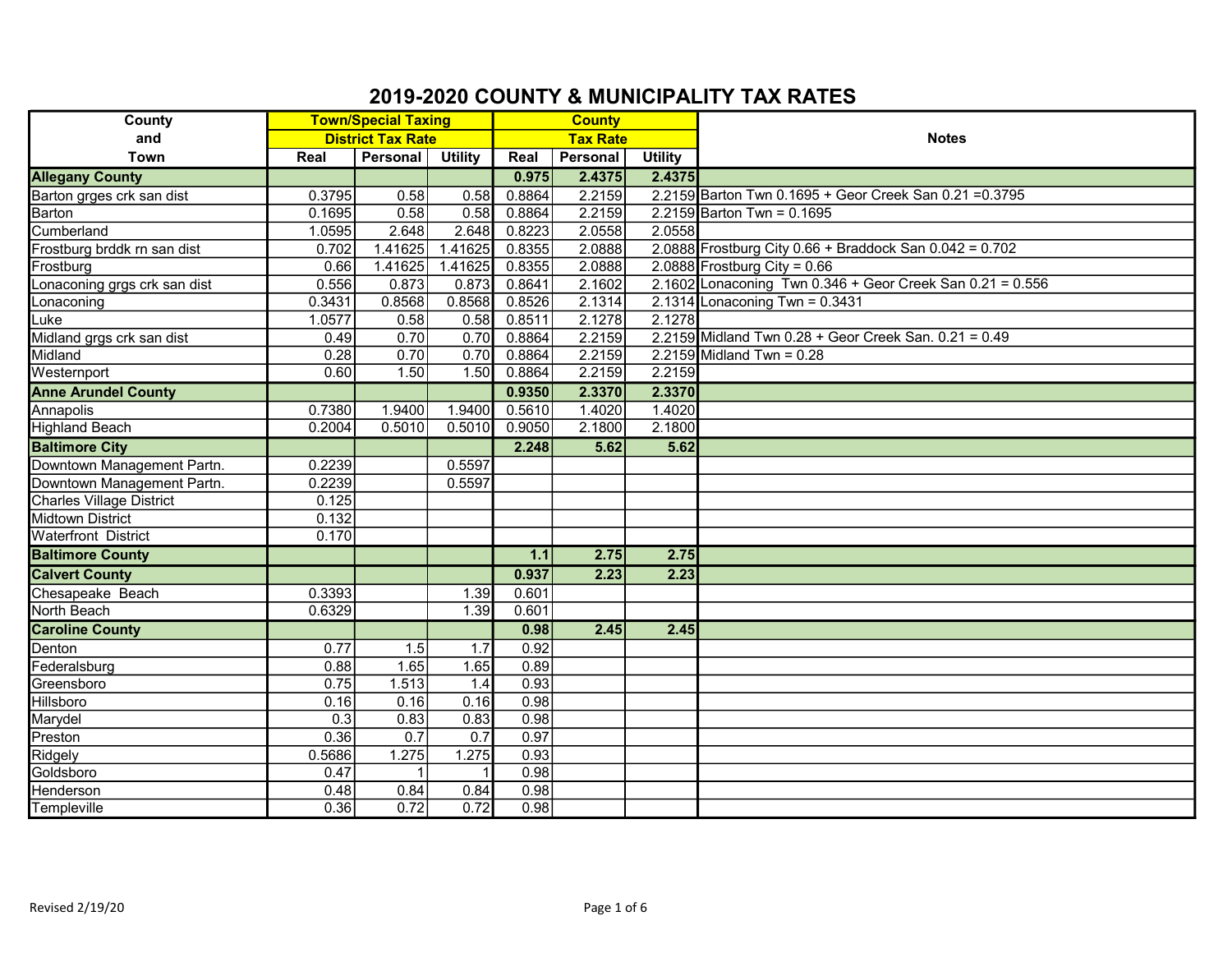| County                          | <b>Town/Special Taxing</b> |          |                 | <b>County</b> |                 |                |                                                             |
|---------------------------------|----------------------------|----------|-----------------|---------------|-----------------|----------------|-------------------------------------------------------------|
| and                             | <b>District Tax Rate</b>   |          | <b>Tax Rate</b> |               |                 | <b>Notes</b>   |                                                             |
| <b>Town</b>                     | Real                       | Personal | <b>Utility</b>  | Real          | <b>Personal</b> | <b>Utility</b> |                                                             |
| <b>Allegany County</b>          |                            |          |                 | 0.975         | 2.4375          | 2.4375         |                                                             |
| Barton grges crk san dist       | 0.3795                     | 0.58     | 0.58            | 0.8864        | 2.2159          |                | 2.2159 Barton Twn 0.1695 + Geor Creek San 0.21 = 0.3795     |
| Barton                          | 0.1695                     | 0.58     | 0.58            | 0.8864        | 2.2159          |                | 2.2159 Barton Twn = $0.1695$                                |
| Cumberland                      | 1.0595                     | 2.648    | 2.648           | 0.8223        | 2.0558          | 2.0558         |                                                             |
| Frostburg brddk rn san dist     | 0.702                      | 1.41625  | 1.41625         | 0.8355        | 2.0888          |                | 2.0888 Frostburg City $0.66 +$ Braddock San $0.042 = 0.702$ |
| Frostburg                       | 0.66                       | 1.41625  | 1.41625         | 0.8355        | 2.0888          |                | 2.0888 Frostburg City = $0.66$                              |
| Lonaconing grgs crk san dist    | 0.556                      | 0.873    | 0.873           | 0.8641        | 2.1602          |                | 2.1602 Lonaconing Twn 0.346 + Geor Creek San 0.21 = $0.556$ |
| Lonaconing                      | 0.3431                     | 0.8568   | 0.8568          | 0.8526        | 2.1314          |                | 2.1314 Lonaconing Twn = $0.3431$                            |
| ∟uke                            | 1.0577                     | 0.58     | 0.58            | 0.8511        | 2.1278          | 2.1278         |                                                             |
| Midland grgs crk san dist       | 0.49                       | 0.70     | 0.70            | 0.8864        | 2.2159          |                | $2.2159$ Midland Twn $0.28 +$ Geor Creek San. $0.21 = 0.49$ |
| Midland                         | 0.28                       | 0.70     | 0.70            | 0.8864        | 2.2159          |                | 2.2159 Midland Twn = $0.28$                                 |
| Westernport                     | 0.60                       | 1.50     | 1.50            | 0.8864        | 2.2159          | 2.2159         |                                                             |
| <b>Anne Arundel County</b>      |                            |          |                 | 0.9350        | 2.3370          | 2.3370         |                                                             |
| <b>Annapolis</b>                | 0.7380                     | 1.9400   | 1.9400          | 0.5610        | 1.4020          | 1.4020         |                                                             |
| <b>Highland Beach</b>           | 0.2004                     | 0.5010   | 0.5010          | 0.9050        | 2.1800          | 2.1800         |                                                             |
| <b>Baltimore City</b>           |                            |          |                 | 2.248         | 5.62            | 5.62           |                                                             |
| Downtown Management Partn.      | 0.2239                     |          | 0.5597          |               |                 |                |                                                             |
| Downtown Management Partn.      | 0.2239                     |          | 0.5597          |               |                 |                |                                                             |
| <b>Charles Village District</b> | 0.125                      |          |                 |               |                 |                |                                                             |
| <b>Midtown District</b>         | 0.132                      |          |                 |               |                 |                |                                                             |
| <b>Waterfront District</b>      | 0.170                      |          |                 |               |                 |                |                                                             |
| <b>Baltimore County</b>         |                            |          |                 | 1.1           | 2.75            | 2.75           |                                                             |
| <b>Calvert County</b>           |                            |          |                 | 0.937         | 2.23            | 2.23           |                                                             |
| Chesapeake Beach                | 0.3393                     |          | 1.39            | 0.601         |                 |                |                                                             |
| <b>North Beach</b>              | 0.6329                     |          | 1.39            | 0.601         |                 |                |                                                             |
| <b>Caroline County</b>          |                            |          |                 | 0.98          | 2.45            | 2.45           |                                                             |
| Denton                          | 0.77                       | 1.5      | 1.7             | 0.92          |                 |                |                                                             |
| Federalsburg                    | 0.88                       | 1.65     | 1.65            | 0.89          |                 |                |                                                             |
| Greensboro                      | 0.75                       | 1.513    | 1.4             | 0.93          |                 |                |                                                             |
| <b>Hillsboro</b>                | 0.16                       | 0.16     | 0.16            | 0.98          |                 |                |                                                             |
| Marydel                         | 0.3                        | 0.83     | 0.83            | 0.98          |                 |                |                                                             |
| Preston                         | 0.36                       | 0.7      | 0.7             | 0.97          |                 |                |                                                             |
| Ridgely                         | 0.5686                     | 1.275    | 1.275           | 0.93          |                 |                |                                                             |
| Goldsboro                       | 0.47                       |          |                 | 0.98          |                 |                |                                                             |
| Henderson                       | 0.48                       | 0.84     | 0.84            | 0.98          |                 |                |                                                             |
| Templeville                     | 0.36                       | 0.72     | 0.72            | 0.98          |                 |                |                                                             |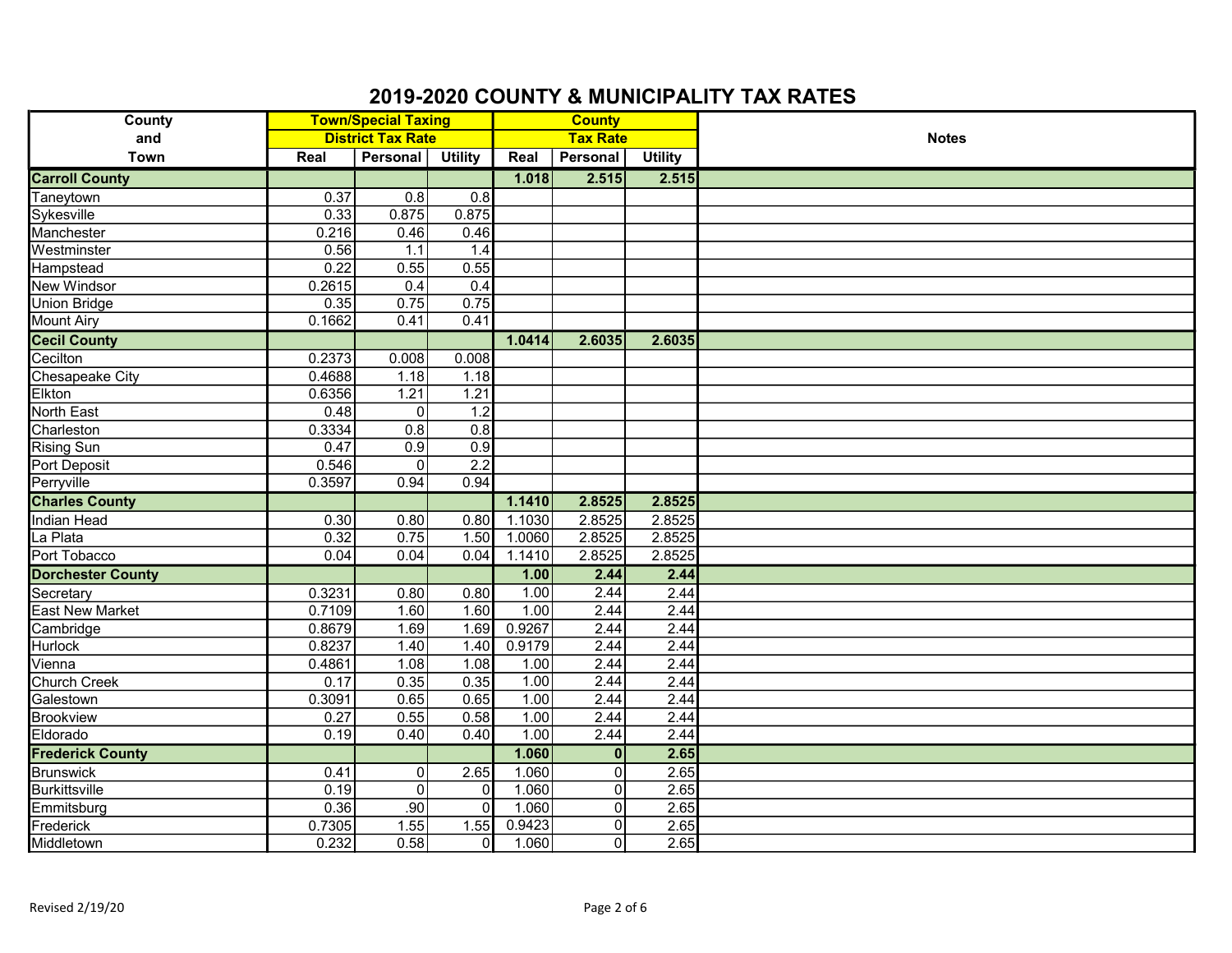| <b>County</b>            | <b>Town/Special Taxing</b> |                          |                  | <b>County</b>   |                |                |              |
|--------------------------|----------------------------|--------------------------|------------------|-----------------|----------------|----------------|--------------|
| and                      |                            | <b>District Tax Rate</b> |                  | <b>Tax Rate</b> |                |                | <b>Notes</b> |
| Town                     | Real                       | Personal                 | <b>Utility</b>   | Real            | Personal       | <b>Utility</b> |              |
| <b>Carroll County</b>    |                            |                          |                  | 1.018           | 2.515          | 2.515          |              |
| Taneytown                | 0.37                       | 0.8                      | 0.8              |                 |                |                |              |
| Sykesville               | 0.33                       | 0.875                    | 0.875            |                 |                |                |              |
| Manchester               | 0.216                      | 0.46                     | 0.46             |                 |                |                |              |
| Westminster              | 0.56                       | 1.1                      | 1.4              |                 |                |                |              |
| Hampstead                | 0.22                       | 0.55                     | 0.55             |                 |                |                |              |
| New Windsor              | 0.2615                     | 0.4                      | 0.4              |                 |                |                |              |
| <b>Union Bridge</b>      | 0.35                       | 0.75                     | 0.75             |                 |                |                |              |
| <b>Mount Airy</b>        | 0.1662                     | 0.41                     | 0.41             |                 |                |                |              |
| <b>Cecil County</b>      |                            |                          |                  | 1.0414          | 2.6035         | 2.6035         |              |
| Cecilton                 | 0.2373                     | 0.008                    | 0.008            |                 |                |                |              |
| Chesapeake City          | 0.4688                     | 1.18                     | 1.18             |                 |                |                |              |
| Elkton                   | 0.6356                     | 1.21                     | 1.21             |                 |                |                |              |
| <b>North East</b>        | 0.48                       | $\mathbf 0$              | 1.2              |                 |                |                |              |
| Charleston               | 0.3334                     | $\overline{0.8}$         | $\overline{0.8}$ |                 |                |                |              |
| <b>Rising Sun</b>        | 0.47                       | 0.9                      | 0.9              |                 |                |                |              |
| Port Deposit             | 0.546                      | $\mathbf 0$              | $\overline{2.2}$ |                 |                |                |              |
| Perryville               | 0.3597                     | 0.94                     | 0.94             |                 |                |                |              |
| <b>Charles County</b>    |                            |                          |                  | 1.1410          | 2.8525         | 2.8525         |              |
| <b>Indian Head</b>       | 0.30                       | 0.80                     | 0.80             | 1.1030          | 2.8525         | 2.8525         |              |
| La Plata                 | 0.32                       | 0.75                     | 1.50             | 1.0060          | 2.8525         | 2.8525         |              |
| Port Tobacco             | 0.04                       | 0.04                     | 0.04             | 1.1410          | 2.8525         | 2.8525         |              |
| <b>Dorchester County</b> |                            |                          |                  | 1.00            | 2.44           | 2.44           |              |
| Secretary                | 0.3231                     | 0.80                     | 0.80             | 1.00            | 2.44           | 2.44           |              |
| <b>East New Market</b>   | 0.7109                     | 1.60                     | 1.60             | 1.00            | 2.44           | 2.44           |              |
| Cambridge                | 0.8679                     | 1.69                     | 1.69             | 0.9267          | 2.44           | 2.44           |              |
| Hurlock                  | 0.8237                     | 1.40                     | 1.40             | 0.9179          | 2.44           | 2.44           |              |
| Vienna                   | 0.4861                     | 1.08                     | 1.08             | 1.00            | 2.44           | 2.44           |              |
| Church Creek             | 0.17                       | 0.35                     | 0.35             | 1.00            | 2.44           | 2.44           |              |
| Galestown                | 0.3091                     | 0.65                     | 0.65             | 1.00            | 2.44           | 2.44           |              |
| <b>Brookview</b>         | 0.27                       | 0.55                     | 0.58             | 1.00            | 2.44           | 2.44           |              |
| Eldorado                 | 0.19                       | 0.40                     | 0.40             | 1.00            | 2.44           | 2.44           |              |
| <b>Frederick County</b>  |                            |                          |                  | 1.060           | $\mathbf{0}$   | 2.65           |              |
| <b>Brunswick</b>         | 0.41                       | $\mathbf 0$              | 2.65             | 1.060           | $\Omega$       | 2.65           |              |
| <b>Burkittsville</b>     | 0.19                       | $\mathbf 0$              | $\Omega$         | 1.060           | $\Omega$       | 2.65           |              |
| Emmitsburg               | 0.36                       | .90                      | $\Omega$         | 1.060           | $\Omega$       | 2.65           |              |
| Frederick                | 0.7305                     | 1.55                     | 1.55             | 0.9423          | 0              | 2.65           |              |
| Middletown               | 0.232                      | 0.58                     | $\overline{0}$   | 1.060           | $\overline{0}$ | 2.65           |              |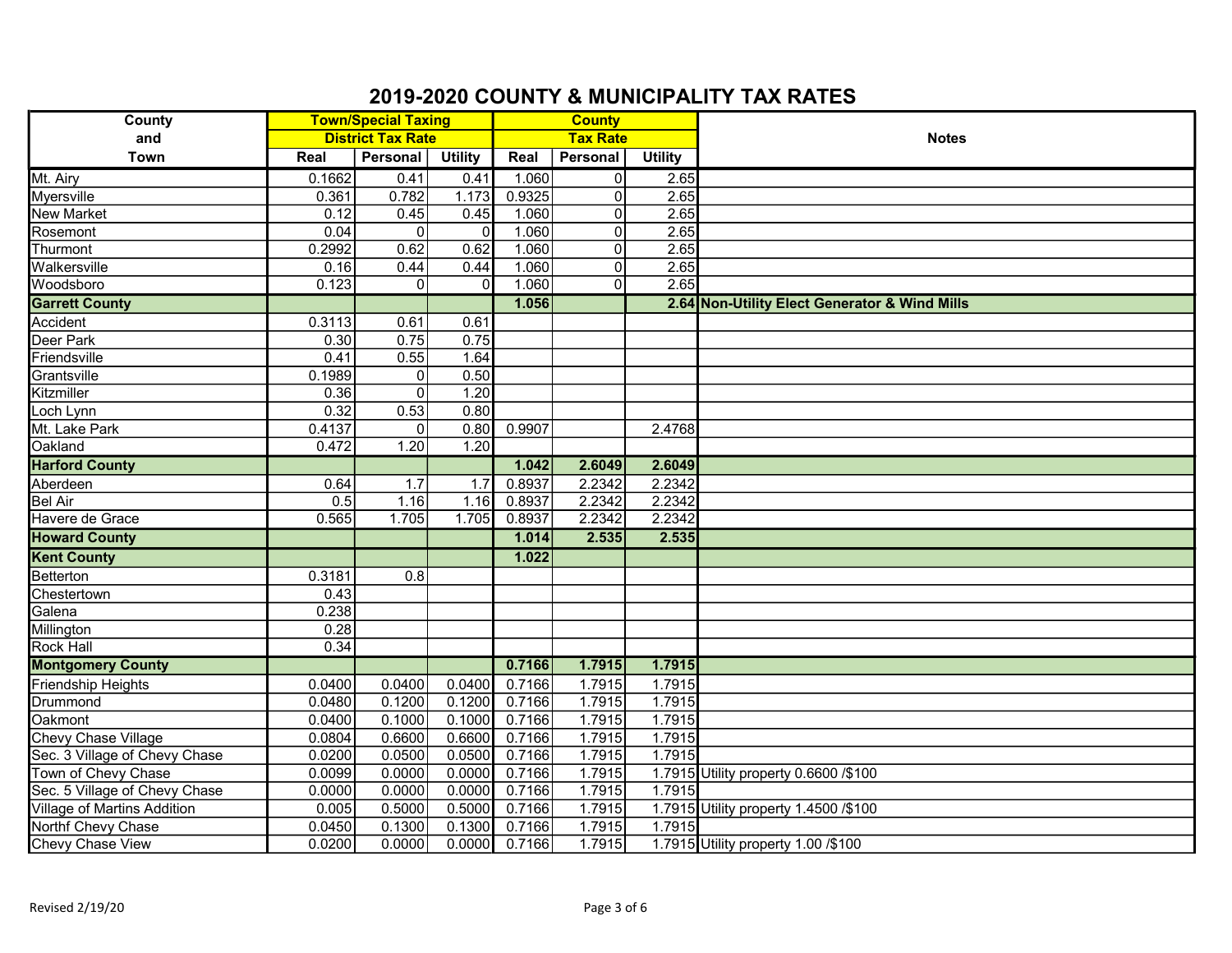| <b>County</b>                 | <b>Town/Special Taxing</b> |                |                |                 | <b>County</b>  |                |                                               |
|-------------------------------|----------------------------|----------------|----------------|-----------------|----------------|----------------|-----------------------------------------------|
| and                           | <b>District Tax Rate</b>   |                |                | <b>Tax Rate</b> |                |                | <b>Notes</b>                                  |
| Town                          | Real                       | Personal       | <b>Utility</b> | Real            | Personal       | <b>Utility</b> |                                               |
| Mt. Airy                      | 0.1662                     | 0.41           | 0.41           | 1.060           | $\overline{0}$ | 2.65           |                                               |
| Myersville                    | 0.361                      | 0.782          | 1.173          | 0.9325          | $\Omega$       | 2.65           |                                               |
| <b>New Market</b>             | 0.12                       | 0.45           | 0.45           | 1.060           | 0              | 2.65           |                                               |
| Rosemont                      | 0.04                       | $\Omega$       | $\Omega$       | 1.060           | 0              | 2.65           |                                               |
| Thurmont                      | 0.2992                     | 0.62           | 0.62           | 1.060           | $\Omega$       | 2.65           |                                               |
| Walkersville                  | 0.16                       | 0.44           | 0.44           | 1.060           | $\Omega$       | 2.65           |                                               |
| Woodsboro                     | 0.123                      | $\Omega$       | O              | 1.060           | $\Omega$       | 2.65           |                                               |
| <b>Garrett County</b>         |                            |                |                | 1.056           |                |                | 2.64 Non-Utility Elect Generator & Wind Mills |
| Accident                      | 0.3113                     | 0.61           | 0.61           |                 |                |                |                                               |
| Deer Park                     | 0.30                       | 0.75           | 0.75           |                 |                |                |                                               |
| Friendsville                  | 0.41                       | 0.55           | 1.64           |                 |                |                |                                               |
| Grantsville                   | 0.1989                     | $\overline{0}$ | 0.50           |                 |                |                |                                               |
| Kitzmiller                    | 0.36                       | $\overline{0}$ | 1.20           |                 |                |                |                                               |
| Loch Lynn                     | 0.32                       | 0.53           | 0.80           |                 |                |                |                                               |
| Mt. Lake Park                 | 0.4137                     | $\overline{0}$ | 0.80           | 0.9907          |                | 2.4768         |                                               |
| Oakland                       | 0.472                      | 1.20           | 1.20           |                 |                |                |                                               |
| <b>Harford County</b>         |                            |                |                | 1.042           | 2.6049         | 2.6049         |                                               |
| Aberdeen                      | 0.64                       | 1.7            | 1.7            | 0.8937          | 2.2342         | 2.2342         |                                               |
| <b>Bel Air</b>                | 0.5                        | 1.16           | 1.16           | 0.8937          | 2.2342         | 2.2342         |                                               |
| Havere de Grace               | 0.565                      | 1.705          | 1.705          | 0.8937          | 2.2342         | 2.2342         |                                               |
| <b>Howard County</b>          |                            |                |                | 1.014           | 2.535          | 2.535          |                                               |
| <b>Kent County</b>            |                            |                |                | 1.022           |                |                |                                               |
| Betterton                     | 0.3181                     | 0.8            |                |                 |                |                |                                               |
| Chestertown                   | 0.43                       |                |                |                 |                |                |                                               |
| Galena                        | 0.238                      |                |                |                 |                |                |                                               |
| Millington                    | 0.28                       |                |                |                 |                |                |                                               |
| <b>Rock Hall</b>              | 0.34                       |                |                |                 |                |                |                                               |
| <b>Montgomery County</b>      |                            |                |                | 0.7166          | 1.7915         | 1.7915         |                                               |
| Friendship Heights            | 0.0400                     | 0.0400         | 0.0400         | 0.7166          | 1.7915         | 1.7915         |                                               |
| Drummond                      | 0.0480                     | 0.1200         | 0.1200         | 0.7166          | 1.7915         | 1.7915         |                                               |
| Oakmont                       | 0.0400                     | 0.1000         | 0.1000         | 0.7166          | 1.7915         | 1.7915         |                                               |
| Chevy Chase Village           | 0.0804                     | 0.6600         | 0.6600         | 0.7166          | 1.7915         | 1.7915         |                                               |
| Sec. 3 Village of Chevy Chase | 0.0200                     | 0.0500         | 0.0500         | 0.7166          | 1.7915         | 1.7915         |                                               |
| Town of Chevy Chase           | 0.0099                     | 0.0000         | 0.0000         | 0.7166          | 1.7915         |                | 1.7915 Utility property 0.6600 /\$100         |
| Sec. 5 Village of Chevy Chase | 0.0000                     | 0.0000         | 0.0000         | 0.7166          | 1.7915         | 1.7915         |                                               |
| Village of Martins Addition   | 0.005                      | 0.5000         | 0.5000         | 0.7166          | 1.7915         |                | 1.7915 Utility property 1.4500 /\$100         |
| Northf Chevy Chase            | 0.0450                     | 0.1300         | 0.1300         | 0.7166          | 1.7915         | 1.7915         |                                               |
| Chevy Chase View              | 0.0200                     | 0.0000         | 0.0000         | 0.7166          | 1.7915         |                | 1.7915 Utility property 1.00 /\$100           |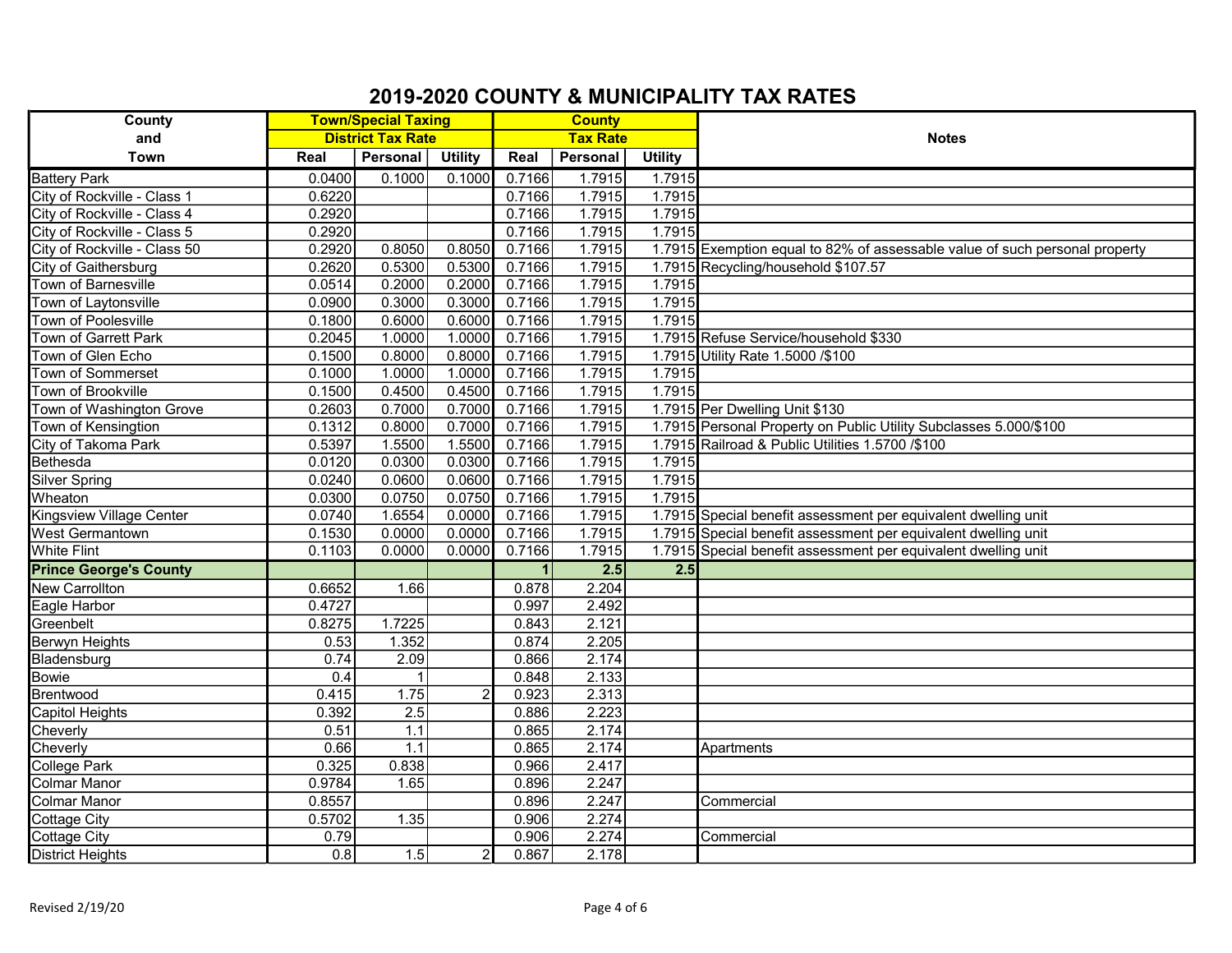| <b>County</b>                 | <b>Town/Special Taxing</b> |                  |                | <b>County</b>   |          |                |                                                                             |
|-------------------------------|----------------------------|------------------|----------------|-----------------|----------|----------------|-----------------------------------------------------------------------------|
| and                           | <b>District Tax Rate</b>   |                  |                | <b>Tax Rate</b> |          |                | <b>Notes</b>                                                                |
| <b>Town</b>                   | Real                       | Personal         | <b>Utility</b> | Real            | Personal | <b>Utility</b> |                                                                             |
| <b>Battery Park</b>           | 0.0400                     | 0.1000           | 0.1000         | 0.7166          | 1.7915   | 1.7915         |                                                                             |
| City of Rockville - Class 1   | 0.6220                     |                  |                | 0.7166          | 1.7915   | 1.7915         |                                                                             |
| City of Rockville - Class 4   | 0.2920                     |                  |                | 0.7166          | 1.7915   | 1.7915         |                                                                             |
| City of Rockville - Class 5   | 0.2920                     |                  |                | 0.7166          | 1.7915   | 1.7915         |                                                                             |
| City of Rockville - Class 50  | 0.2920                     | 0.8050           | 0.8050         | 0.7166          | 1.7915   |                | 1.7915 Exemption equal to 82% of assessable value of such personal property |
| City of Gaithersburg          | 0.2620                     | 0.5300           | 0.5300         | 0.7166          | 1.7915   |                | 1.7915 Recycling/household \$107.57                                         |
| Town of Barnesville           | 0.0514                     | 0.2000           | 0.2000         | 0.7166          | 1.7915   | 1.7915         |                                                                             |
| Town of Laytonsville          | 0.0900                     | 0.3000           | 0.3000         | 0.7166          | 1.7915   | 1.7915         |                                                                             |
| Town of Poolesville           | 0.1800                     | 0.6000           | 0.6000         | 0.7166          | 1.7915   | 1.7915         |                                                                             |
| Town of Garrett Park          | 0.2045                     | 1.0000           | 1.0000         | 0.7166          | 1.7915   |                | 1.7915 Refuse Service/household \$330                                       |
| Town of Glen Echo             | 0.1500                     | 0.8000           | 0.8000         | 0.7166          | 1.7915   |                | 1.7915 Utility Rate 1.5000 /\$100                                           |
| Town of Sommerset             | 0.1000                     | 1.0000           | 1.0000         | 0.7166          | 1.7915   | 1.7915         |                                                                             |
| Town of Brookville            | 0.1500                     | 0.4500           | 0.4500         | 0.7166          | 1.7915   | 1.7915         |                                                                             |
| Town of Washington Grove      | 0.2603                     | 0.7000           | 0.7000         | 0.7166          | 1.7915   |                | 1.7915 Per Dwelling Unit \$130                                              |
| Town of Kensingtion           | 0.1312                     | 0.8000           | 0.7000         | 0.7166          | 1.7915   |                | 1.7915 Personal Property on Public Utility Subclasses 5.000/\$100           |
| City of Takoma Park           | 0.5397                     | 1.5500           | 1.5500         | 0.7166          | 1.7915   |                | 1.7915 Railroad & Public Utilities 1.5700 /\$100                            |
| Bethesda                      | 0.0120                     | 0.0300           | 0.0300         | 0.7166          | 1.7915   | 1.7915         |                                                                             |
| <b>Silver Spring</b>          | 0.0240                     | 0.0600           | 0.0600         | 0.7166          | 1.7915   | 1.7915         |                                                                             |
| Wheaton                       | 0.0300                     | 0.0750           | 0.0750         | 0.7166          | 1.7915   | 1.7915         |                                                                             |
| Kingsview Village Center      | 0.0740                     | 1.6554           | 0.0000         | 0.7166          | 1.7915   |                | 1.7915 Special benefit assessment per equivalent dwelling unit              |
| West Germantown               | 0.1530                     | 0.0000           | 0.0000         | 0.7166          | 1.7915   |                | 1.7915 Special benefit assessment per equivalent dwelling unit              |
| <b>White Flint</b>            | 0.1103                     | 0.0000           | 0.0000         | 0.7166          | 1.7915   |                | 1.7915 Special benefit assessment per equivalent dwelling unit              |
| <b>Prince George's County</b> |                            |                  |                |                 | 2.5      | 2.5            |                                                                             |
| <b>New Carrollton</b>         | 0.6652                     | 1.66             |                | 0.878           | 2.204    |                |                                                                             |
| Eagle Harbor                  | 0.4727                     |                  |                | 0.997           | 2.492    |                |                                                                             |
| Greenbelt                     | 0.8275                     | 1.7225           |                | 0.843           | 2.121    |                |                                                                             |
| <b>Berwyn Heights</b>         | 0.53                       | 1.352            |                | 0.874           | 2.205    |                |                                                                             |
| Bladensburg                   | 0.74                       | 2.09             |                | 0.866           | 2.174    |                |                                                                             |
| Bowie                         | 0.4                        |                  |                | 0.848           | 2.133    |                |                                                                             |
| Brentwood                     | 0.415                      | 1.75             |                | 0.923           | 2.313    |                |                                                                             |
| <b>Capitol Heights</b>        | 0.392                      | 2.5              |                | 0.886           | 2.223    |                |                                                                             |
| Cheverly                      | 0.51                       | 1.1              |                | 0.865           | 2.174    |                |                                                                             |
| Cheverly                      | 0.66                       | $\overline{1.1}$ |                | 0.865           | 2.174    |                | Apartments                                                                  |
| College Park                  | 0.325                      | 0.838            |                | 0.966           | 2.417    |                |                                                                             |
| <b>Colmar Manor</b>           | 0.9784                     | 1.65             |                | 0.896           | 2.247    |                |                                                                             |
| <b>Colmar Manor</b>           | 0.8557                     |                  |                | 0.896           | 2.247    |                | Commercial                                                                  |
| <b>Cottage City</b>           | 0.5702                     | 1.35             |                | 0.906           | 2.274    |                |                                                                             |
| <b>Cottage City</b>           | 0.79                       |                  |                | 0.906           | 2.274    |                | Commercial                                                                  |
| <b>District Heights</b>       | 0.8                        | 1.5              |                | 0.867           | 2.178    |                |                                                                             |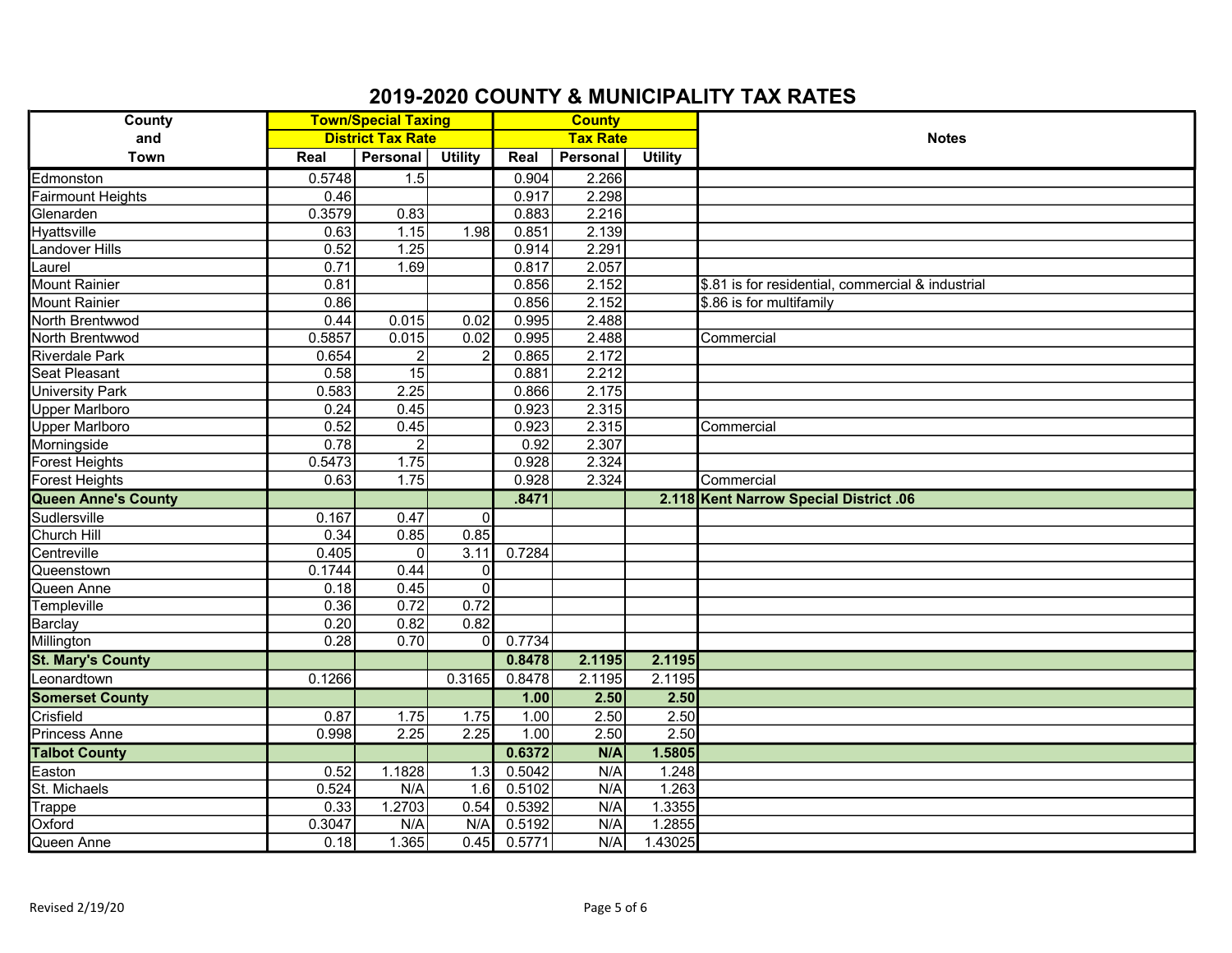| <b>County</b>              | <b>Town/Special Taxing</b> |                 |                 | <b>County</b> |          |                |                                                   |
|----------------------------|----------------------------|-----------------|-----------------|---------------|----------|----------------|---------------------------------------------------|
| and                        | <b>District Tax Rate</b>   |                 | <b>Tax Rate</b> |               |          | <b>Notes</b>   |                                                   |
| Town                       | Real                       | Personal        | <b>Utility</b>  | Real          | Personal | <b>Utility</b> |                                                   |
| Edmonston                  | 0.5748                     | 1.5             |                 | 0.904         | 2.266    |                |                                                   |
| Fairmount Heights          | 0.46                       |                 |                 | 0.917         | 2.298    |                |                                                   |
| Glenarden                  | 0.3579                     | 0.83            |                 | 0.883         | 2.216    |                |                                                   |
| <b>Hyattsville</b>         | 0.63                       | 1.15            | 1.98            | 0.851         | 2.139    |                |                                                   |
| Landover Hills             | 0.52                       | 1.25            |                 | 0.914         | 2.291    |                |                                                   |
| Laurel                     | 0.71                       | 1.69            |                 | 0.817         | 2.057    |                |                                                   |
| Mount Rainier              | 0.81                       |                 |                 | 0.856         | 2.152    |                | \$.81 is for residential, commercial & industrial |
| Mount Rainier              | 0.86                       |                 |                 | 0.856         | 2.152    |                | \$.86 is for multifamily                          |
| North Brentwwod            | 0.44                       | 0.015           | 0.02            | 0.995         | 2.488    |                |                                                   |
| North Brentwwod            | 0.5857                     | 0.015           | 0.02            | 0.995         | 2.488    |                | Commercial                                        |
| <b>Riverdale Park</b>      | 0.654                      | $\overline{2}$  |                 | 0.865         | 2.172    |                |                                                   |
| <b>Seat Pleasant</b>       | 0.58                       | $\overline{15}$ |                 | 0.881         | 2.212    |                |                                                   |
| University Park            | 0.583                      | 2.25            |                 | 0.866         | 2.175    |                |                                                   |
| <b>Upper Marlboro</b>      | 0.24                       | 0.45            |                 | 0.923         | 2.315    |                |                                                   |
| <b>Upper Marlboro</b>      | 0.52                       | 0.45            |                 | 0.923         | 2.315    |                | Commercial                                        |
| Morningside                | 0.78                       | $\overline{2}$  |                 | 0.92          | 2.307    |                |                                                   |
| Forest Heights             | 0.5473                     | 1.75            |                 | 0.928         | 2.324    |                |                                                   |
| Forest Heights             | 0.63                       | 1.75            |                 | 0.928         | 2.324    |                | Commercial                                        |
| <b>Queen Anne's County</b> |                            |                 |                 | .8471         |          |                | 2.118 Kent Narrow Special District .06            |
| Sudlersville               | 0.167                      | 0.47            | $\overline{0}$  |               |          |                |                                                   |
| <b>Church Hill</b>         | 0.34                       | 0.85            | 0.85            |               |          |                |                                                   |
| Centreville                | 0.405                      | $\overline{0}$  | 3.11            | 0.7284        |          |                |                                                   |
| Queenstown                 | 0.1744                     | 0.44            | $\Omega$        |               |          |                |                                                   |
| Queen Anne                 | 0.18                       | 0.45            | $\Omega$        |               |          |                |                                                   |
| Templeville                | 0.36                       | 0.72            | 0.72            |               |          |                |                                                   |
| Barclay                    | 0.20                       | 0.82            | 0.82            |               |          |                |                                                   |
| Millington                 | 0.28                       | 0.70            | U               | 0.7734        |          |                |                                                   |
| <b>St. Mary's County</b>   |                            |                 |                 | 0.8478        | 2.1195   | 2.1195         |                                                   |
| Leonardtown                | 0.1266                     |                 | 0.3165          | 0.8478        | 2.1195   | 2.1195         |                                                   |
| <b>Somerset County</b>     |                            |                 |                 | 1.00          | 2.50     | 2.50           |                                                   |
| Crisfield                  | 0.87                       | 1.75            | 1.75            | 1.00          | 2.50     | 2.50           |                                                   |
| <b>Princess Anne</b>       | 0.998                      | 2.25            | 2.25            | 1.00          | 2.50     | 2.50           |                                                   |
| <b>Talbot County</b>       |                            |                 |                 | 0.6372        | N/A      | 1.5805         |                                                   |
| Easton                     | 0.52                       | 1.1828          | 1.3             | 0.5042        | N/A      | 1.248          |                                                   |
| St. Michaels               | 0.524                      | N/A             | 1.6             | 0.5102        | N/A      | 1.263          |                                                   |
| Trappe                     | 0.33                       | 1.2703          | 0.54            | 0.5392        | N/A      | 1.3355         |                                                   |
| Oxford                     | 0.3047                     | N/A             | N/A             | 0.5192        | N/A      | 1.2855         |                                                   |
| Queen Anne                 | 0.18                       | 1.365           | 0.45            | 0.5771        | N/A      | 1.43025        |                                                   |